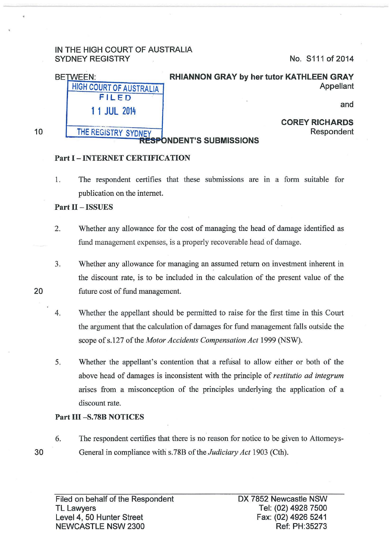# IN THE HIGH COURT OF AUSTRALIA SYDNEY REGISTRY No. S111 of 2014

| RHIANNON GRAY by her tutor KATHLEEN GRAY | <b>BETWEEN:</b>                |
|------------------------------------------|--------------------------------|
| Appellant                                | <b>HIGH COURT OF AUSTRALIA</b> |
|                                          | FILED                          |
| and                                      | 1 1 JUL 2014                   |
| <b>COREY RICHARDS</b>                    |                                |
| Respondent                               | THE REGISTRY SYDNEY            |
| <b>RESPONDENT'S SUBMISSIONS</b>          |                                |

10

20

# Part I - INTERNET CERTIFICATION

1. The respondent certifies that these submissions are in a form suitable for publication on the internet.

#### Part II - ISSUES

- 2. Whether any allowance for the cost of managing the head of damage identified as fund management expenses, is a properly recoverable head of damage.
- 3. Whether any allowance for managing an assumed return on investment inherent in the discount rate, is to be included in the calculation of the present value of the future cost of fund management.
- 4. Whether the appellant should be permitted to raise for the first time in this Court the argument that the calculation of damages for fund management falls outside the scope of s.127 of the *Motor Accidents Compensation Act* 1999 (NSW).
- 5. Whether the appellant's contention that a refusal to allow either or both of the above head of damages is inconsistent with the principle of *restitutio ad integrum*  arises from a misconception of the principles underlying the application of a discount rate.

#### Part III -S.78B NOTICES

30

6. The respondent certifies that there is no reason for notice to be given to Attorneys-General in compliance with s. 78B of the *Judiciary Act* 1903 (Cth).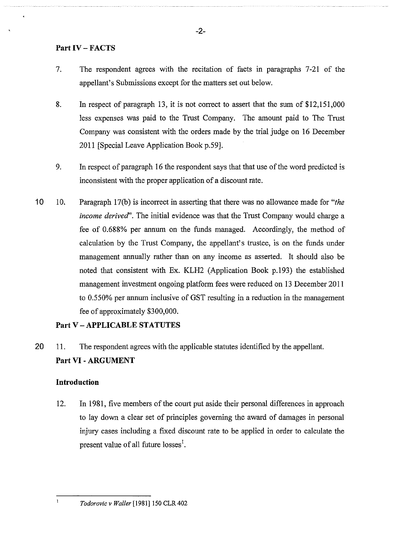# **Part IV- FACTS**

- 7. The respondent agrees with the recitation of facts in paragraphs 7-21 of the appellant's Submissions except for the matters set out below.
- 8. In respect of paragraph 13, it is not correct to assert that the sum of \$12,151,000 less expenses was paid to the Trust Company. The amount paid to The Trust Company was consistent with the orders made by the trial judge on 16 December 2011 [Special Leave Application Book p.59].
- 9. In respect of paragraph 16 the respondent says that that use of the word predicted is inconsistent with the proper application of a discount rate.
- 10 10. Paragraph 17(b) is incorrect in asserting that there was no allowance made for *"the income derived*". The initial evidence was that the Trust Company would charge a fee of 0.688% per annum on the funds managed. Accordingly, the method of calculation by the Trust Company, the appellant's trustee, is on the funds under management annually rather than on any income as asserted. It should also be noted that consistent with Ex. KLH2 (Application Book p.193) the established management investment ongoing platform fees were reduced on 13 December 2011 to 0.550% per annum inclusive of GST resulting in a reduction in the management fee of approximately \$300,000.

# **Part V- APPLICABLE STATUTES**

20 11. The respondent agrees with the applicable statutes identified by the appellant. **Part VI -ARGUMENT** 

# **Introduction**

12. In 1981, five members of the court put aside their personal differences in approach to lay down a clear set of principles governing the award of damages in personal injury cases including a fixed discount rate to be applied in order to calculate the present value of all future losses<sup>1</sup>.

*Todorovic v Waller* [1981]150 CLR 402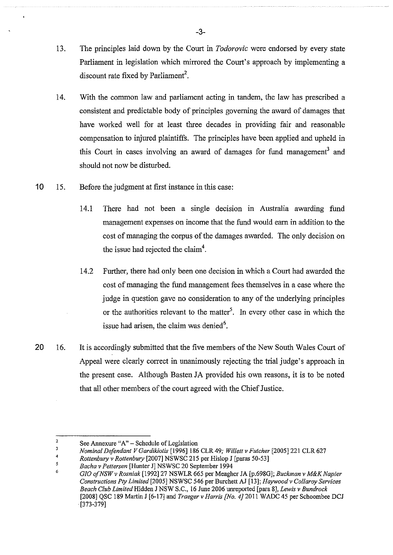- 13. The principles laid down by the Court in *Todorovic* were endorsed by every state Parliament in legislation which mirrored the Court's approach by implementing a discount rate fixed by Parliament<sup>2</sup>.
- 14. With the common law and parliament acting in tandem, the law has prescribed a consistent and predictable body of principles governing the award of damages that have worked well for at least three decades in providing fair and reasonable compensation to injured plaintiffs. The principles have been applied and upheld in this Court in cases involving an award of damages for fund management<sup>3</sup> and should not now be disturbed.
- 10 15. Before the judgment at first instance in this case:
	- 14.1 There had not been a single decision in Australia awarding fund management expenses on income that the fund would earn in addition to the cost of managing the corpus of the damages awarded. The only decision on the issue had rejected the claim<sup>4</sup>.
	- 14.2 Further, there had only been one decision in which a Court had awarded the cost of managing the fund management fees themselves in a case where the judge in question gave no consideration to any of the underlying principles or the authorities relevant to the matter<sup>5</sup>. In every other case in which the issue had arisen, the claim was denied<sup>6</sup>.
- 20 16. It is accordingly submitted that the five members of the New South Wales Court of Appeal were clearly correct in unanimously rejecting the trial judge's approach in the present case. Although Basten JA provided his own reasons, it is to be noted that all other members of the court agreed with the Chief Justice.

<sup>2</sup>  See Annexure "A" - Schedule of Legislation

 $\overline{\mathbf{3}}$ *Nominal Defendant V Gardikiotis* [1996] 186 CLR 49; *Willett v Fulcher* [2005]221 CLR 627 4

*Rottenbwy v Rottenbury* [2007] NSWSC 215 per Hislop J [paras 50-53]

*<sup>5</sup>*  6 *Bacha v Pettersen* [Hunter J] NSWSC 20 September 1994

*GIO ofNSW v Rosniak* [1992]27 NSWLR 665 per Meagher JA [p.698G]; *Buckman v M&K Napier Constructions Pty Limited* [2005] NSWSC 546 per Burchett AJ [13]; *Haywoodv Collaroy Services Beach Club Limited* Hidden J NSW S.C., 16 June 2006 unreported [para 8], *Lewis v Bundrock*  [2008] QSC 189 Martin J [6-17] and *Traeger v Harris [No. 4]2011* WADC 45 per Schoombee DCJ . [373-379]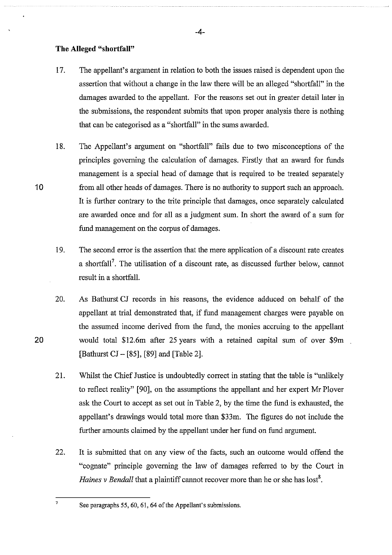#### **The Alleged "shortfall"**

- 17. The appellant's argument in relation to both the issues raised is dependent upon the assertion that without a change in the law there will be an alleged "shortfall" in the damages awarded to the appellant. For the reasons set out in greater detail later in the submissions, the respondent submits that upon proper analysis there is nothing that can be categorised as a "shortfall" in the sums awarded.
- 18. The Appellant's argument on "shortfall" fails due to two misconceptions of the principles governing the calculation of damages. Firstly that an award for funds management is a special head of damage that is required to be treated separately from all other heads of damages. There is no authority to support such an approach. It is further contrary to the trite principle that damages, once separately calculated are awarded once and for all as a judgment sum. In short the award of a sum for fund management on the corpus of damages.
- 19. The second error is the assertion that the mere application of a discount rate creates a shortfall<sup>7</sup>. The utilisation of a discount rate, as discussed further below, cannot result in a shortfall.
- 20. As Bathurst CJ records in his reasons, the evidence adduced on behalf of the appellant at trial demonstrated that, if fund management charges were payable on the assumed income derived from the fund, the monies accruing to the appellant would total \$12.6m after 25 years with a retained capital sum of over \$9m [Bathurst CJ- [85], [89] and [Table 2].
- 21. Whilst the Chief Justice is undoubtedly correct in stating that the table is "unlikely to reflect reality" [90], on the assumptions the appellant and her expert Mr Plover ask the Court to accept as set out in Table 2, by the time the fund is exhausted, the appellant's drawings would total more than \$33m. The figures do not include the further amounts claimed by the appellant under her fund on fund argument.
- 22. It is submitted that on any view of the facts, such an outcome would offend the "cognate" principle governing the law of damages referred to by the Court in *Haines v Bendall* that a plaintiff cannot recover more than he or she has lost<sup>8</sup>.

7 See paragraphs *55,* 60, 61, 64 ofthe Appellant's submissions.

20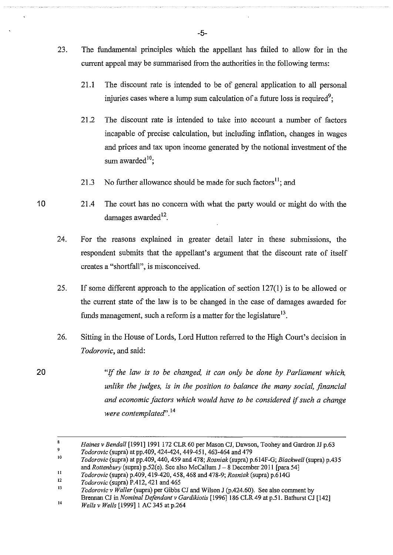- 23. The fundamental principles which the appellant has failed to allow for in the current appeal may be summarised from the authorities in the following terms:
	- 21.1 The discount rate is intended to be of general application to all personal injuries cases where a lump sum calculation of a future loss is required<sup>9</sup>;
	- 21.2 The discount rate is intended to take into account a number of factors incapable of precise calculation, but including inflation, changes in wages and prices and tax upon income generated by the notional investment of the sum awarded<sup>10</sup>;
	- 21.3 No further allowance should be made for such factors<sup>11</sup>; and
- **10**  21.4 The court has no concern with what the party would or might do with the damages awarded $^{12}$ .
	- 24. For the reasons explained in greater detail later in these submissions, the respondent submits that the appellant's argument that the discount rate of itself creates a "shortfall", is misconceived.
	- 25. If some different approach to the application of section 127(1) is to be allowed or the current state of the law is to be changed in the case of damages awarded for funds management, such a reform is a matter for the legislature<sup>13</sup>.
	- 26. Sitting in the House of Lords, Lord Hutton referred to the High Court's decision in *Todorovic,* and said:
		- "Jf *the law is to be changed, it can only be done by Parliament which, unlike the judges, is in the position to balance the many social, financial and economic factors which would have to be considered* if *such a change were contemplated'.* <sup>14</sup>

**20** 

**-5-**

<sup>8</sup>  *Haines v Bendall* [1991] 1991 172 CLR 60 per Mason CJ, Dawson, Toohey and Gardron JJ p.63

<sup>9</sup>  *Todorovic* (supra) at pp.409, 424-424,449-451,463-464 and 479

IO 11 *Todorovic* (supra) at pp.409, 440, 459 and 478; *Rosniak* (supra) p.614F-G; *Blackwell* (supra) p.435 and *Rottenbwy* (supra) p.52(e). See also McCallum J- 8 December 2011 [para 54]

<sup>12</sup>  *Todorovic* (supra) p.409, 419-420,458,468 and 478-9; *Rosniak* (supra) p.614G *Todorovic* (supra) P.412, 421 and 465

<sup>13</sup>  *Todorovic v Waller* (supra) per Gibbs CJ and Wilson J (p.424.60). See also comment by Brennan CJ in *Nominal Defendant v Gardikiotis* [1996]186 CLR 49 at p.51. Bathurst CJ [142]

<sup>!4</sup>  *Wells v Wells* [1999]1 AC 345 at p.264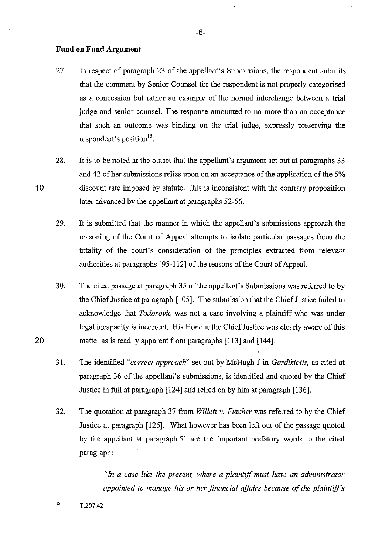#### **Fund on Fund Argument**

10

20

- 27. In respect of paragraph 23 of the appellant's Submissions, the respondent submits that the comment by Senior Counsel for the respondent is not properly categorised as a concession but rather an example of the normal interchange between a trial judge and senior counsel. The response amounted to no more than an acceptance that such an outcome was binding on the trial judge, expressly preserving the respondent's position<sup>15</sup>.
- 28. It is to be noted at the outset that the appellant's argument set out at paragraphs 33 and 42 of her submissions relies upon on an acceptance of the application of the 5% discount rate imposed by statute. This is inconsistent with the contrary proposition later advanced by the appellant at paragraphs 52-56.
	- 29. It is submitted that the marmer in which the appellant's submissions approach the reasoning of the Court of Appeal attempts to isolate particular passages from the totality of the court's consideration of the principles extracted from relevant authorities at paragraphs [95-112] of the reasons of the Court of Appeal.
	- 30. The cited passage at paragraph 35 of the appellant's Submissions was referred to by the Chief Justice at paragraph [105]. The submission that the Chief Justice failed to acknowledge that *Todorovic* was not a case involving a plaintiff who was under legal incapacity is incorrect. His Honour the Chief Justice was clearly aware of this matter as is readily apparent from paragraphs [113] and [144].
	- 31. The identified *"correct approach"* set out by McHugh J in *Gardikiotis,* as cited at paragraph 36 of the appellant's submissions, is identified and quoted by the Chief Justice in full at paragraph [124] and relied on by him at paragraph [136].
	- 32. The quotation at paragraph 37 from *Willett* v. *Futcher* was referred to by the Chief Justice at paragraph [125]. What however has been left out of the passage quoted by the appellant at paragraph 51 are the important prefatory words to the cited paragraph:

*"In a case like the present, where a plaintiff must have an administrator appointed to manage his or her financial affairs because of the plaintiff's*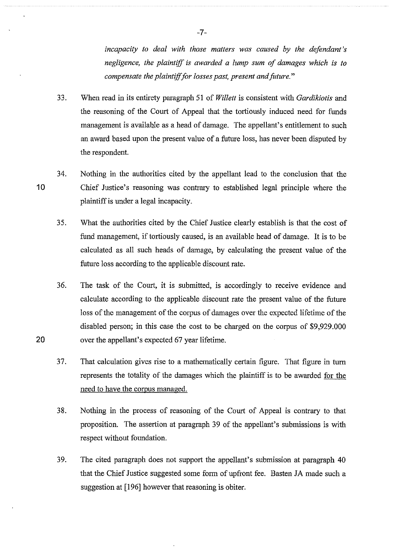*incapacity to deal with those matters was caused by the defendant's negligence, the plaintiff* is *awarded a lump sum of damages which* is *to compensate the plaintiff for losses past, present and future."* 

- 33. When read in its entirety paragraph 51 of *Willett* is consistent with *Gardikiotis* and the reasoning of the Court of Appeal that the tortiously induced need for funds management is available as a head of damage. The appellant's entitlement to such an award based upon the present value of a future loss, has never been disputed by the respondent.
- 10 34. Nothing in the authorities cited by the appellant lead to the conclusion that the Chief Justice's reasoning was contrary to established legal principle where the plaintiff is under a legal incapacity.
	- 3 5. What the authorities cited by the Chief Justice clearly establish is that the cost of fund management, if tortiously caused, is an available head of damage. It is to be calculated as all such heads of damage, by calculating the present value of the future loss according to the applicable discount rate.
	- 36. The task of the Court, it is submitted, is accordingly to receive evidence and calculate according to the applicable discount rate the present value of the future loss of the management of the corpus of damages over the expected lifetime of the disabled person; in this case the cost to be charged on the corpus of \$9,929.000 over the appellant's expected 67 year lifetime.

20

- 37. That calculation gives rise to a mathematically certain figure. That figure in turn represents the totality of the damages which the plaintiff is to be awarded for the need to have the corpus managed.
- 38. Nothing in the process of reasoning of the Court of Appeal is contrary to that proposition. The assertion at paragraph 39 of the appellant's submissions is with respect without foundation.
- 39. The cited paragraph does not support the appellant's submission at paragraph 40 that the Chief Justice suggested some form of upfront fee. Basten JA made such a suggestion at [196] however that reasoning is obiter.

-7-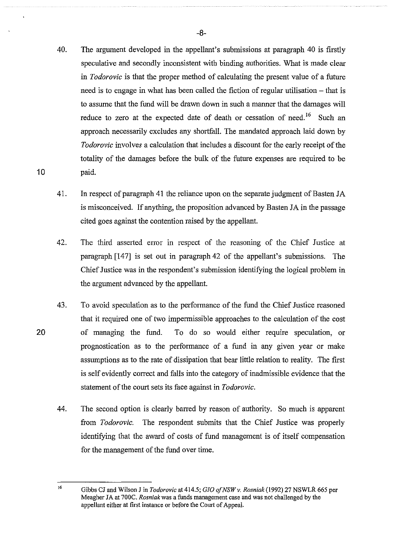- 40. The argument developed in the appellant's submissions at paragraph 40 is firstly speculative and secondly inconsistent with binding authorities. What is made clear in *Todorovic* is that the proper method of calculating the present value of a future need is to engage in what has been called the fiction of regular utilisation – that is to assume that the fund will be drawn down in such a manner that the damages will reduce to zero at the expected date of death or cessation of need.<sup>16</sup> Such an approach necessarily excludes any shortfall. The mandated approach laid down by *Todorovic* involves a calculation that includes a discount for the early receipt of the totality of the damages before the bulk of the future expenses are required to be paid.
- 41. In respect of paragraph 41 the reliance upon on the separate judgment of Basten JA is misconceived. If anything, the proposition advanced by Basten JA in the passage cited goes against the contention raised by the appellant.
- 42. The third asserted error in respect of the reasoning of the Chief Justice at paragraph [147] is set out in paragraph 42 of the appellant's submissions. The Chief Justice was in the respondent's submission identifying the logical problem in the argument advanced by the appellant.
- 43. To avoid speculation as to the performance of the fund the Chief Justice reasoned that it required one of two impermissible approaches to the calculation of the cost of managing the fund. To do so would either require speculation, or prognostication as to the performance of a fund in any given year or make assmnptions as to the rate of dissipation that bear little relation to reality. The first is self evidently correct and falls into the category of inadmissible evidence that the statement of the court sets its face against in *Todorovic.* 
	- 44. The second option is clearly barred by reason of authority. So much is apparent from *Todorovic.* The respondent submits that the Chief Justice was properly identifying that the award of costs of fund management is of itself compensation for the management of the fund over time.

20

<sup>!6</sup> Gibbs CJ and Wilson J in *Todorovic* at 414.5; *GIO ofNSWv. Rosniak(l992)* 27 NSWLR 665 per Meagher JA at 700C. *Rosniak* was a funds management case and was not challenged by the appellant either at first instance or before the Court of Appeal.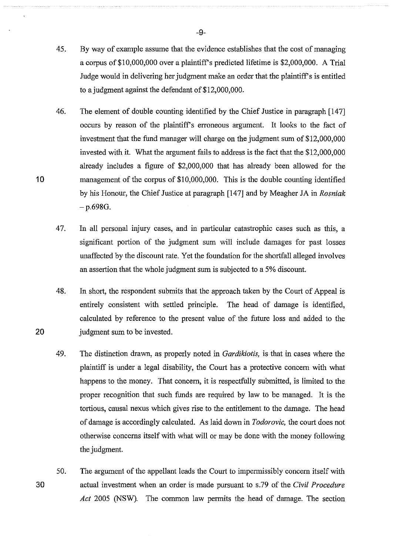- 45. By way of example assume that the evidence establishes that the cost of managing a corpus of\$10,000,000 over a plaintiff's predicted lifetime is \$2,000,000. A Trial Judge would in delivering her judgment make an order that the plaintiff's is entitled to a judgment against the defendant of \$12,000,000.
- 46. The element of double counting identified by the Chief Justice in paragraph [147] occurs by reason of the plaintiffs erroneous argument. It looks to the fact of investment that the fund manager will charge on the judgment sum of \$12,000,000 invested with it. What the argument fails to address is the fact that the \$12,000,000 already includes a figure of \$2,000,000 that has already been allowed for the management of the corpus of \$10,000,000. This is the double counting identified by his Honour, the Chief Justice at paragraph [147] and by Meagher JA in *Rosniak*   $-p.698G.$
- 47. In all personal injury cases, and in particular catastrophic cases such as this, a significant portion of the judgment sum will include damages for past losses unaffected by the discount rate. Yet the foundation for the shortfall alleged involves an assertion that the whole judgment sum is subjected to a 5% discount.
- 48. In short, the respondent submits that the approach taken by the Court of Appeal is entirely consistent with settled principle. The head of damage is identified, calculated by reference to the present value of the future loss and added to the judgment sum to be invested.
- 49. The distinction drawn, as properly noted in *Gardikiotis,* is that in cases where the plaintiff is under a legal disability, the Court has a protective concern with what happens to the money. That concern, it is respectfully submitted, is limited to the proper recognition that such funds are required by law to be managed. It is the tortious, causal nexus which gives rise to the entitlement to the damage. The head of damage is accordingly calculated. As laid down in *Todorovic,* the court does not otherwise concerns itself with what will or may be done with the money following the judgment.
- 30 50. The argument of the appellant leads the Court to impermissibly concern itself with actual investment when an order is made pursuant to s.79 of the Civil *Procedure Act* 2005 (NSW). The common law permits the head of damage. The section

-9-

20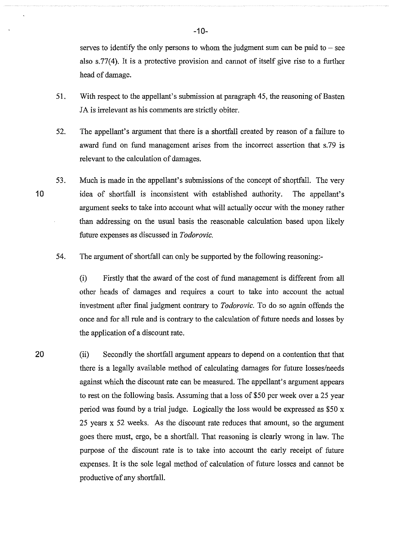serves to identify the only persons to whom the judgment sum can be paid to  $-$  see also s.77(4). It is a protective provision and cannot of itself give rise to a further head of damage.

- 51. With respect to the appellant's submission at paragraph 45, the reasoning of Basten JA is irrelevant as his comments are strictly obiter.
- 52. The appellant's argument that there is a shortfall created by reason of a failure to award fund on fund management arises from the incorrect assertion that s. 79 is relevant to the calculation of damages.
- 53. Much is made in the appellant's submissions of the concept of shortfall. The very idea of shortfall is inconsistent with established authority. The appellant's argument seeks to take into account what will actually occur with the money rather than addressing on the usual basis the reasonable calculation based upon likely future expenses as discussed in *Todorovic.*

54. The argument of shortfall can only be supported by the following reasoning:-

(i) Firstly that the award of the cost of fund management is different from all other heads of damages and requires a court to take into account the actual investment after final judgment contrary to *Todorovic.* To do so again offends the once and for all rule and is contrary to the calculation of future needs and losses by the application of a discount rate.

(ii) Secondly the shortfall argument appears to depend on a contention that that there is a legally available method of calculating damages for future losses/needs against which the discount rate can be measured. The appellant's argument appears to rest on the following basis. Assuming that a loss of \$50 per week over a 25 year period was found by a trial judge. Logically the loss would be expressed as \$50 x 25 years x 52 weeks. As the discount rate reduces that amount, so the argument goes there must, ergo, be a shortfall. That reasoning is clearly wrong in law. The purpose of the discount rate is to take into account the early receipt of future expenses. It is the sole legal method of calculation of future losses and cannot be productive of any shortfall.

10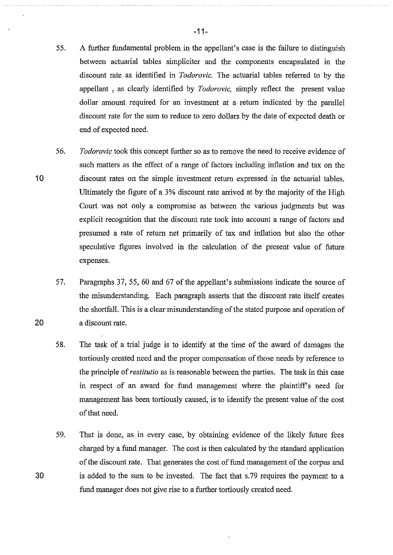- 55. A further fundamental problem in the appellant's case is the failure to distinguish between actuarial tables simpliciter and the components encapsulated in the discount rate as identified in *Todorovic.* The actuarial tables referred to by the appellant , as clearly identified by *Todorovic,* simply reflect the present value dollar amount required for an investment at a return indicated by the parallel discount rate for the sum to reduce to zero dollars by the date of expected death or
- 56. *Todorovic* took this concept further so as to remove the need to receive evidence of such matters as the effect of a range of factors including inflation and tax on the discount rates on the simple investment return expressed in the actuarial tables. Ultimately the figure of a 3% discount rate arrived at by the majority of the High Court was not only a compromise as between the various judgments but was explicit recognition that the discount rate took into account a range of factors and presumed a rate of return net primarily of tax and inflation but also the other speculative figures involved in the calculation of the present value of future expenses.
	- 57. Paragraphs 37, 55, 60 and 67 of the appellant's submissions indicate the source of the misunderstanding. Each paragraph asserts that the discount rate itself creates the shortfall. This is a clear misunderstanding of the stated purpose and operation of a discount rate.
	- 58. The task of a trial judge is to identify at the time of the award of damages the tortiously created need and the proper compensation of those needs by reference to the principle of *restitutio* as is reasonable between the parties. The task in this case in respect of an award for fund management where the plaintiff's need for management has been tortiously caused, is to identify the present value of the cost of that need.
	- 59. That is done, as in every case, by obtaining evidence of the likely future fees charged by a fund manager. The cost is then calculated by the standard application of the discount rate. That generates the cost of fund management of the corpus and is added to the sum to be invested. The fact that s. 79 requires the payment to a fund manager does not give rise to a further tortiously created need.

-11-

10

end of expected need.

20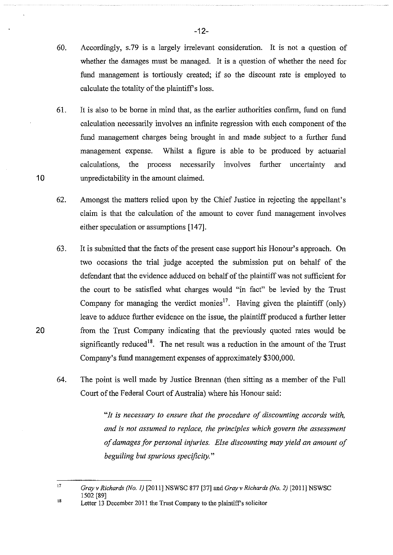- 60. Accordingly, s. 79 is a largely irrelevant consideration. It is not a question of whether the damages must be managed. It is a question of whether the need for fund management is tortiously created; if so the discount rate is employed to calculate the totality of the plaintiff's loss.
- 61. It is also to be borne in mind that, as the earlier authorities confirm, fund on fund calculation necessarily involves an infinite regression with each component of the fund management charges being brought in and made subject to a further fund management expense. Whilst a figure is able to be produced by actuarial calculations, the process necessarily involves further uncertainty and unpredictability in the amount claimed.

10

20

- 62. Amongst the matters relied upon by the Chief Justice in rejecting the appellant's claim is that the calculation of the amount to cover fund management involves either speculation or assumptions [147].
- 63. It is submitted that the facts of the present case support his Honour's approach. On two occasions the trial judge accepted the submission put on behalf of the defendant that the evidence adduced on behalf of the plaintiff was not sufficient for the court to be satisfied what charges would "in fact" be levied by the Trust Company for managing the verdict monies<sup>17</sup>. Having given the plaintiff (only) leave to adduce further evidence on the issue, the plaintiff produced a further letter from the Trust Company indicating that the previously quoted rates would be significantly reduced<sup>18</sup>. The net result was a reduction in the amount of the Trust Company's fund management expenses of approximately \$300,000.
- 64. The point is well made by Justice Brennan (then sitting as a member of the Full Court of the Federal Court of Australia) where his Honour said:

*"It is necessary to ensure that the procedure of discounting accords with, and is not assumed to replace, the principles which govern the assessment of damages for personal·injuries. Else discounting may yield an amount of beguiling but spurious specificity."* 

l7 *Gray v Richards (No. I)* [2011] NSWSC 877 [37] and *Gray v Richards (No. 2)* [2011] NSWSC 1502 [89]

<sup>18</sup>  Letter 13 December 2011 the Trust Company to the plaintiff's solicitor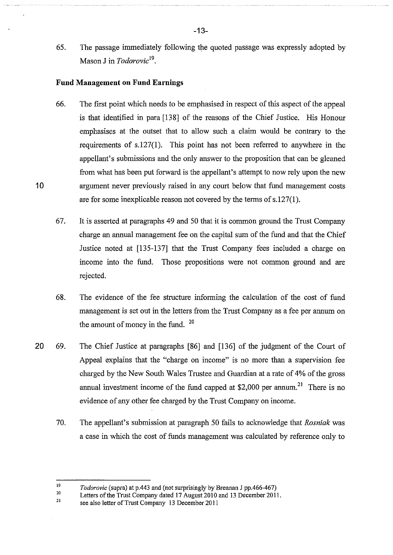65. The passage immediately following the quoted passage was expressly adopted by Mason J in *Todorovic19•* 

#### **Fund Management on Fund Earnings**

- 66. The first point which needs to be emphasised in respect of this aspect of the appeal is that identified in para [138] of the reasons of the Chief Justice. His Honour emphasises at the outset that to allow such a claim would be contrary to the requirements of s.127(1). This point has not been referred to anywhere in the appellant's submissions and the only answer to the proposition that can be gleaned from what has been put forward is the appellant's attempt to now rely upon the new argument never previously raised in any court below that fund management costs are for some inexplicable reason not covered by the terms of s.l27(1).
- 67. It is asserted at paragraphs 49 and 50 that it is common ground the Tmst Company charge an annual management fee on the capital sum of the fund and that the Chief Justice noted at [135-137] that the Trust Company fees included a charge on income into the fund. Those propositions were not common ground and are rejected.
- 68. The evidence of the fee structure informing the calculation of the cost of fund management is set out in the letters from the Trust Company as a fee per annum on the amount of money in the fund. <sup>20</sup>
- 20 69. The Chief Justice at paragraphs [86] and [136] of the judgment of the Court of Appeal explains that the "charge on income" is no more than a supervision fee charged by the New South Wales Tmstee and Guardian at a rate of 4% of the gross annual investment income of the fund capped at \$2,000 per annum.<sup>21</sup> There is no evidence of any other fee charged by the Trust Company on income.
	- 70. The appellant's submission at paragraph 50 fails to acknowledge that *Rosniak* was a case in which the cost of funds management was calculated by reference only to

l9 *Todorovic* (supra) at p.443 and (not surprisingly by Brennan J pp.466-467)

<sup>20</sup>  Letters of the Trust Company dated 17 August 2010 and 13 December 2011.

<sup>21</sup>  see also letter of Trust Company 13 December 2011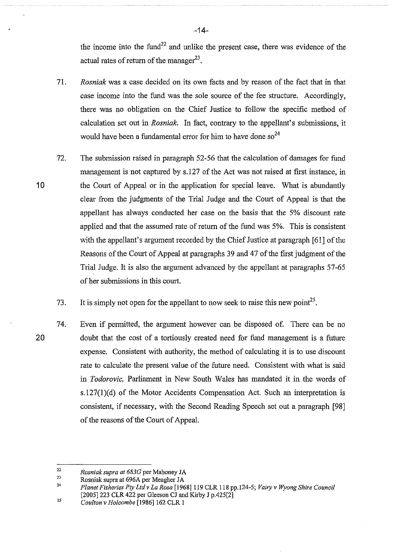the income into the fund<sup>22</sup> and unlike the present case, there was evidence of the actual rates of return of the manager $^{23}$ .

- 71. *Rosniak* was a case decided on its own facts and by reason of the fact that in that case income into the fund was the sole source of the fee structure. Accordingly, there was no obligation on the Chief Justice to follow the specific method of calculation set out in *Rosniak.* In fact, contrary to the appellant's submissions, it would have been a fundamental error for him to have done so<sup>24</sup>
- 72. The submission raised in paragraph 52-56 that the calculation of damages for fund management is not captured by s.l27 of the Act was not raised at first instance, in the Court of Appeal or in the application for special leave. What is abundantly clear from the judgments of the Trial Judge and the Court of Appeal is that the appellant has always conducted her case on the basis that the 5% discount rate applied and that the assumed rate of return of the fund was 5%. This is consistent with the appellant's argument recorded by the Chief Justice at paragraph [61] of the Reasons of the Court of Appeal at paragraphs 39 and 47 of the first judgment of the Trial Judge. It is also the argument advanced by the appellant at paragraphs 57-65 of her submissions in this court.
	- 73. It is simply not open for the appellant to now seek to raise this new point<sup>25</sup>.
- 20 74. Even if permitted, the argument however can be disposed of. There can be no doubt that the cost of a tortiously created need for fund management is a future expense. Consistent with authority, the method of calculating it is to use discount rate to calculate the present value of the future need. Consistent with what is said in *Todorovic,* Parliament in New South Wales has mandated it in the words of s.l27(1)(d) of the Motor Accidents Compensation Act. Such an interpretation is consistent, if necessary, with the Second Reading Speech set out a paragraph [98] of the reasons of the Court of Appeal.

10

-14-

<sup>22</sup>  23 *Rosniak supra at 6830* per Mahoney JA

<sup>24</sup>  Rosniak supra at 696A per Meagher JA

*Planet Fisheries Pty Ltdv La Rosa* [1968]119 CLR 118 pp.l24-5; *Vairy v WyongShire Council*  [2005] 223 CLR 422 per Gleeson CJ and Kirby J p.425[2]

<sup>25</sup>  *Coulton v Holcombe* [1986]162 CLR I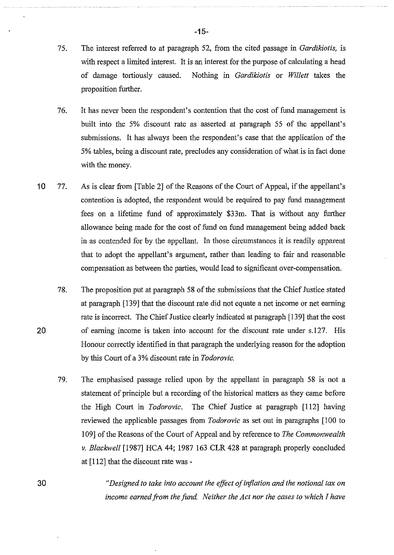- 7 5. The interest referred to at paragraph 52, from the cited passage in *Gardikiotis,* is with respect a limited interest. It is an interest for the purpose of calculating a head of damage tortiously caused. Nothing in *Gardikiotis* or *Willett* takes the proposition further.
- 76. It has never been the respondent's contention that the cost of fund management is built into the 5% discount rate as asserted at paragraph 55 of the appellant's submissions. It has always been the respondent's case that the application of the 5% tables, being a discount rate, precludes any consideration of what is in fact done with the money.
- 10 77. As is clear from [Table 2] of the Reasons of the Court of Appeal, if the appellant's contention is adopted, the respondent would be required to pay fund management fees on a lifetime fund of approximately \$33m. That is without any further allowance being made for the cost of fund on fund management being added back in as contended for by the appellant. In those circumstances it is readily apparent that to adopt the appellant's argument, rather than leading to fair and reasonable compensation as between the parties, would lead to significant over-compensation.
	- 78. The proposition put at paragraph 58 of the submissions that the Chief Justice stated at paragraph [139] that the discount rate did not equate a net income or net earning rate is incorrect. The Chief Justice clearly indicated at paragraph [139] that the cost of earning income is taken into account for the discount rate under s.127. His Honour correctly identified in that paragraph the underlying reason for the adoption by this Court of a 3% discount rate in *Todorovic.*
	- 79. The emphasised passage relied upon by the appellant in paragraph 58 is not a statement of principle but a recording of the historical matters as they came before the High Court in *Todorovic.* The Chief Justice at paragraph [112] having reviewed the applicable passages from *Todorovic* as set out in paragraphs [100 to 109] of the Reasons of the Court of Appeal and by reference to *The Commonwealth v. Blackwell* [1987] HCA 44; 1987 163 CLR 428 at paragraph properly concluded at [112] that the discount rate was-

*"Designed to take into account the effict of inflation and the notional tax on income earned from the fund. Neither the Act nor the cases to which I have*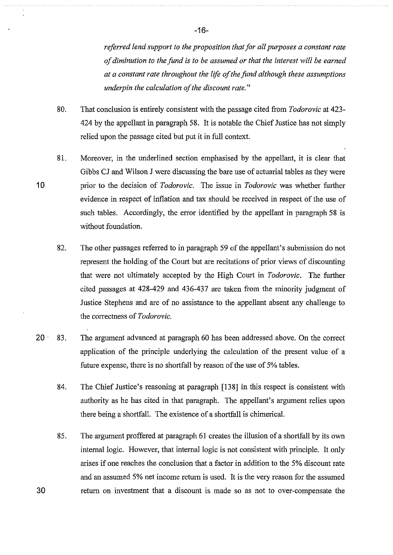*referred lend support to the proposition that for all purposes a constant rate*  of diminution to the fund is to be assumed or that the interest will be earned *at a constant rate throughout the life of the fund although these assumptions underpin the calculation of the discount rate."* 

- 80. That conclusion is entirely consistent with the passage cited from *Todorovic* at 423- 424 by the appellant in paragraph 58. It is notable the Chief Justice has not simply relied upon the passage cited but put it in full context.
- 81. Moreover, in the underlined section emphasised by the appellant, it is clear that Gibbs CJ and Wilson J were discussing the bare use of actuarial tables as they were prior to the decision of *Todorovic.* The issue in *Todorovic* was whether further evidence in respect of inflation and tax should be received in respect of the use of such tables. Accordingly, the error identified by the appellant in paragraph 58 is without foundation.

10

30

- 82. The other passages referred to in paragraph 59 of the appellant's submission do not represent the holding of the Court but are recitations of prior views of discounting that were not ultimately accepted by the High Court in *Todorovic.* The further cited passages at 428-429 and 436-437 are taken from the minority judgment of Justice Stephens and are of no assistance to the appellant absent any challenge to the correctness of *Todorovic*.
- 20. 83. The argument advanced at paragraph 60 has been addressed above. On the correct application of the principle underlying the calculation of the present value of a future expense, there is no shortfall by reason of the use of 5% tables.
	- 84. The Chief Justice's reasoning at paragraph [138] in this respect is consistent with authority as he has cited in that paragraph. The appellant's argument relies upon there being a shortfall. The existence of a shortfall is chimerical.
	- 85. The argument proffered at paragraph 61 creates the illusion of a shortfall by its own internal logic. However, that internal logic is not consistent with principle. It only arises if one reaches the conclusion that a factor in addition to the 5% discount rate and an assumed 5% net income return is used. It is the very reason for the assumed return on investment that a discount is made so as not to over-compensate the

-16-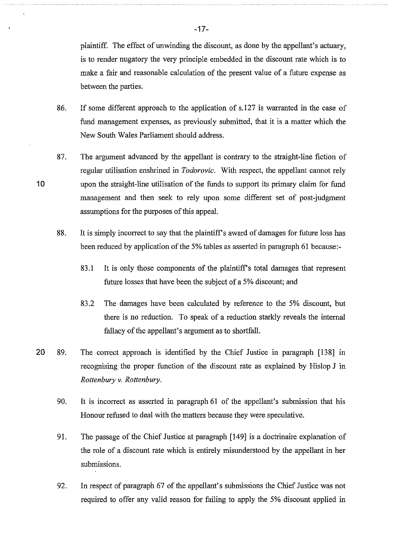plaintiff. The effect of unwinding the discount, as done by the appellant's actuary, is to render nugatory the very principle embedded in the discount rate which is to make a fair and reasonable calculation of the present value of a future expense as between the parties.

- 86. If some different approach to the application of s.127 is warranted in the case of fund management expenses, as previously submitted, that it is a matter which the New South Wales Parliament should address.
- 87. The argument advanced by the appellant is contrary to the straight-line fiction of regular utilisation enshrined in *Todorovic.* With respect, the appellant cannot rely upon the straight-line utilisation of the funds to support its primary claim for fund management and then seek to rely upon some different set of post-judgment assumptions for the purposes of this appeal.

- 88. It is simply incorrect to say that the plaintiff's award of damages for future loss has been reduced by application of the 5% tables as asserted in paragraph 61 because:-
	- 83.1 It is only those components of the plaintiff's total damages that represent future losses that have been the subject of a 5% discount; and
	- 83.2 The damages have been calculated by reference to the 5% discount, but there is no reduction. To speak of a reduction starkly reveals the internal fallacy of the appellant's argument as to shortfall.
- 20 89. The correct approach is identified by the Chief Justice in paragraph [138] in recognising the proper function of the discount rate as explained by Hislop J in *Rottenbury v. Rottenbury.* 
	- 90. It is incorrect as asserted in paragraph 61 of the appellant's submission that his Honour refused to deal with the matters because they were speculative.
	- 91. The passage of the Chief Justice at paragraph [149] is a doctrinaire explanation of the role of a discount rate which is entirely mistmderstood by the appellant in her submissions.
	- 92. In respect of paragraph 67 of the appellant's submissions the Chief Justice was not required to offer any valid reason for failing to apply the 5% discount applied in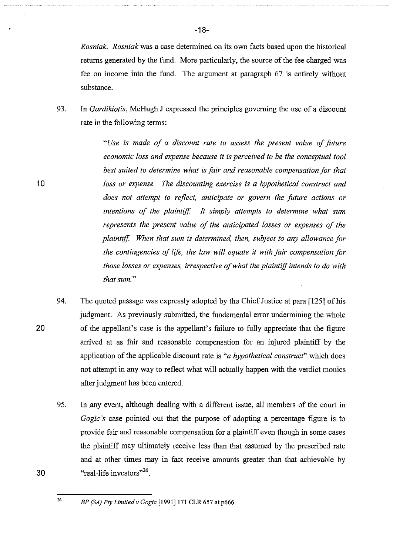*Rosniak. Rosniak* was a case determined on its own facts based upon the historical returns generated by the fund. More particularly, the source of the fee charged was fee on income into the fund. The argument at paragraph 67 is entirely without substance.

93. In *Gardikiotis,* McHugh J expressed the principles governing the use of a discount rate in the following terms:

> *"Use* is *made of a discount rate to assess the present value of future economic loss and expense because* it is *perceived to be the conceptual tool best suited to determine what* is *fair and reasonable compensation for that loss or expense. The discounting exercise is a hypothetical construct and does not attempt to reflect, anticipate or govern the future actions or*  intentions of the plaintiff. It simply attempts to determine what sum *represents the present value of the anticipated losses or expenses of the plaintiff When that sum is determined, then, subject to any allowance for the contingencies of life, the law will equate it with fair compensation for those losses or expenses, irrespective of what the plaintiff intends to do with that sum."*

- 94. The quoted passage was expressly adopted by the Chief Justice at para [125] of his judgment. As previously submitted, the fundamental error undermining the whole of the appellant's case is the appellant's failure to fully appreciate that the figure arrived at as fair and reasonable compensation for an injured plaintiff by the application of the applicable discount rate is *"a hypothetical construcf'* which does not attempt in any way to reflect what will actually happen with the verdict monies after judgment has been entered.
	- 95. In any event, although dealing with a different issue, all members of the court in *Gogic's* case pointed out that the purpose of adopting a percentage figure is to provide fair and reasonable compensation for a plaintiff even though in some cases the plaintiff may ultimately receive less than that assumed by the prescribed rate and at other times may in fact receive amounts greater than that achievable by "real-life investors"<sup>26</sup>.

10

20

<sup>26</sup>*BP (SA) Pty Limited v Gogic* [1991]171 CLR 657 at p666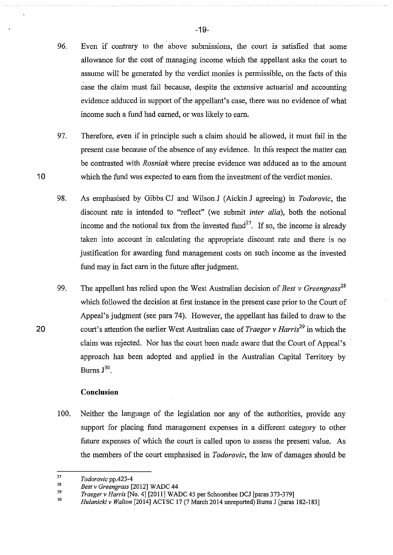- 96. Even if contrary to the above submissions, the court is satisfied that some allowance for the cost of managing income which the appellant asks the comt to assume will be generated by the verdict monies is permissible, on the facts of this case the claim must fail because, despite the extensive actuarial and accounting evidence adduced in support of the appellant's case, there was no evidence of what income such a fund had earned, or was likely to earn.
- 97. Therefore, even if in principle such a claim should be allowed, it must fail in the present case because of the absence of any evidence. In this respect the matter can be contrasted with *Rosniak* where precise evidence was adduced as to the amount which the fund was expected to earn from the investment of the verdict monies.
- 98. As emphasised by Gibbs CJ and Wilson J (Aickin J agreeing) in *Todorovic,* the discount rate is intended to "reflect" (we submit *inter alia),* both the notional income and the notional tax from the invested fund<sup>27</sup>. If so, the income is already taken into account in calculating the appropriate discount rate and there is no justification for awarding fund management costs on such income as the invested fund may in fact earn in the future after judgment.
- 99. The appellant has relied upon the West Australian decision of *Best v Greengrasi<sup>8</sup>* which followed the decision at first instance in the present case prior to the Court of Appeal's judgment (see para 74). However, the appellant has failed to draw to the court's attention the earlier West Australian case of *Traeger v Harris*<sup>29</sup> in which the claim was rejected. Nor has the comt been made aware that the Court of Appeal's approach has been adopted and applied in the Australian Capital Territory by Burns  $J^{30}$ .

#### **Conclusion**

10

20

100. Neither the language of the legislation nor any of the authorities, provide any support for placing fund management expenses in a different category to other future expenses of which the court is called upon to assess the present value. As the members of the court emphasised in *Todorovic,* the law of damages should be

<sup>27</sup>  *Todorovic* pp.423-4

<sup>28</sup>  *Best v Greengrass* [2012] W ADC 44

<sup>29</sup>  *Traeger v Harris* [No.4] [2011] WADC 45 per Schoombee DCJ [paras 373-379]

<sup>30</sup>  *Hulanicki v Walton* [2014] ACTSC 17 (7 March 2014 unreported) Bums J [paras 182-183]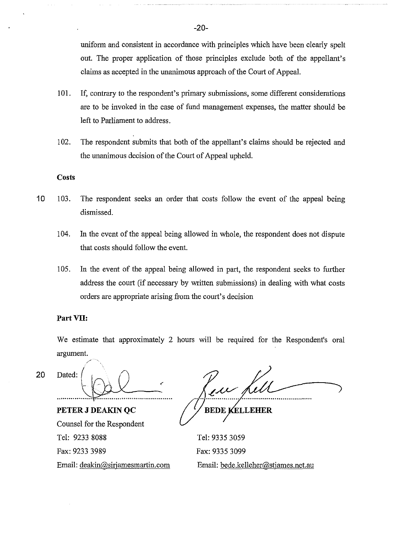uniform and consistent in accordance with principles which have been clearly spelt out. The proper application of those principles exclude both of the appellant's claims as accepted in the unanimous approach of the Court of Appeal.

- 101. If, contrary to the respondent's primary submissions, some different considerations are to be invoked in the case of fund management expenses, the matter should be left to Parliament to address.
- 102. The respondent submits that both of the appellant's claims should be rejected and the unanimous decision of the Court of Appeal upheld.

#### **Costs**

- 10 103. The respondent seeks an order that costs follow the event of the appeal being dismissed.
	- 104. In the event of the appeal being allowed in whole, the respondent does not dispute that costs should follow the event.
	- 105. In the event of the appeal being allowed in part, the respondent seeks to further address the court (if necessary by written submissions) in dealing with what costs orders are appropriate arising from the court's decision

#### **Part VII:**

We estimate that approximately 2 hours will be required for the Respondent's oral argument.

*/*  20 Dated: *(*  |<br>|-

**PETER J DEAKIN QC**  Counsel for the Respondent Tel: 9233 8088 Fax: 9233 3989 Email: deakin@sirjamesmartin.com

**KELLEHER** BEDE

Tel: 9335 3059 Fax: 9335 3099 Email: bede.kelleher@stjames.net.au